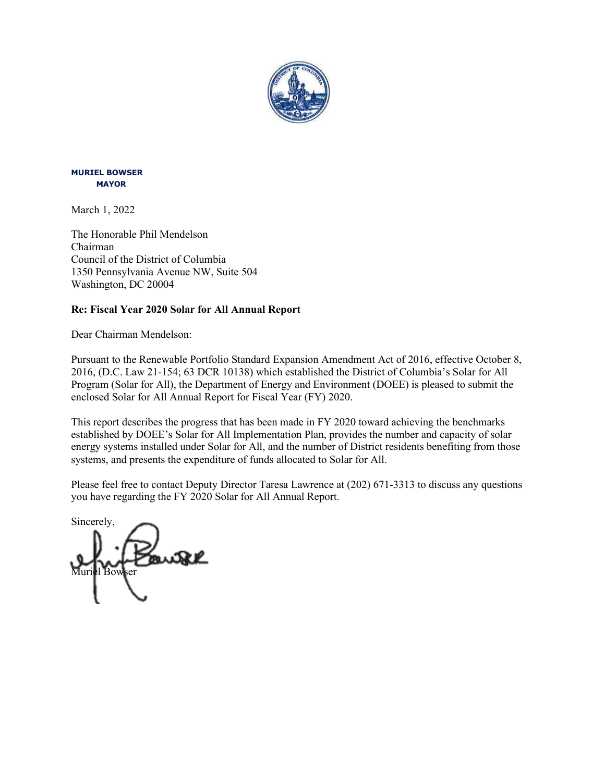

#### **MURIEL BOWSER MAYOR**

March 1, 2022

The Honorable Phil Mendelson Chairman Council of the District of Columbia 1350 Pennsylvania Avenue NW, Suite 504 Washington, DC 20004

### **Re: Fiscal Year 2020 Solar for All Annual Report**

Dear Chairman Mendelson:

Pursuant to the Renewable Portfolio Standard Expansion Amendment Act of 2016, effective October 8, 2016, (D.C. Law 21-154; 63 DCR 10138) which established the District of Columbia's Solar for All Program (Solar for All), the Department of Energy and Environment (DOEE) is pleased to submit the enclosed Solar for All Annual Report for Fiscal Year (FY) 2020.

This report describes the progress that has been made in FY 2020 toward achieving the benchmarks established by DOEE's Solar for All Implementation Plan, provides the number and capacity of solar energy systems installed under Solar for All, and the number of District residents benefiting from those systems, and presents the expenditure of funds allocated to Solar for All.

Please feel free to contact Deputy Director Taresa Lawrence at (202) 671-3313 to discuss any questions you have regarding the FY 2020 Solar for All Annual Report.

Sincerely, Muriel Bowser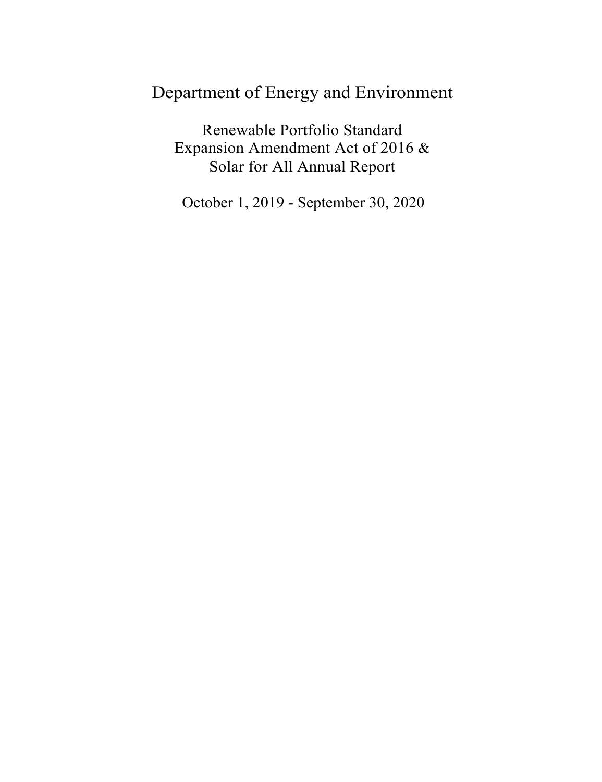# Department of Energy and Environment

Renewable Portfolio Standard Expansion Amendment Act of 2016 & Solar for All Annual Report

October 1, 2019 - September 30, 2020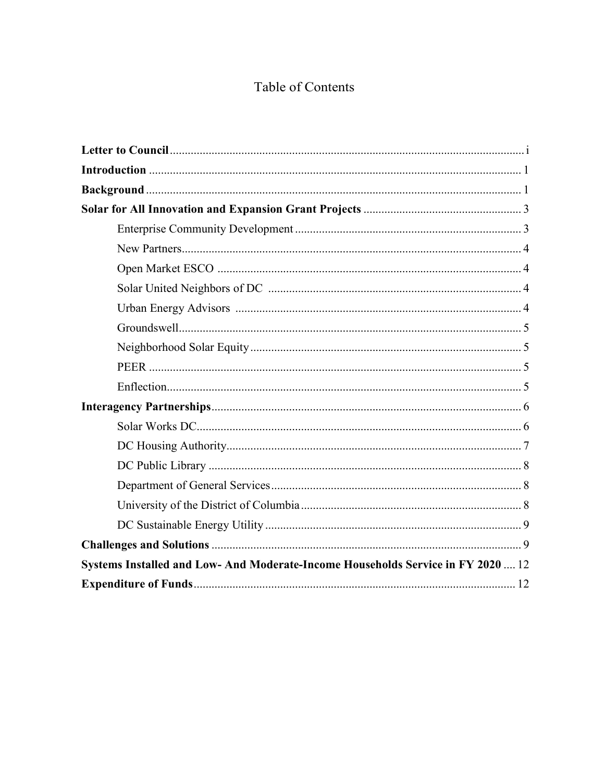## Table of Contents

| Systems Installed and Low- And Moderate-Income Households Service in FY 2020  12 |  |
|----------------------------------------------------------------------------------|--|
|                                                                                  |  |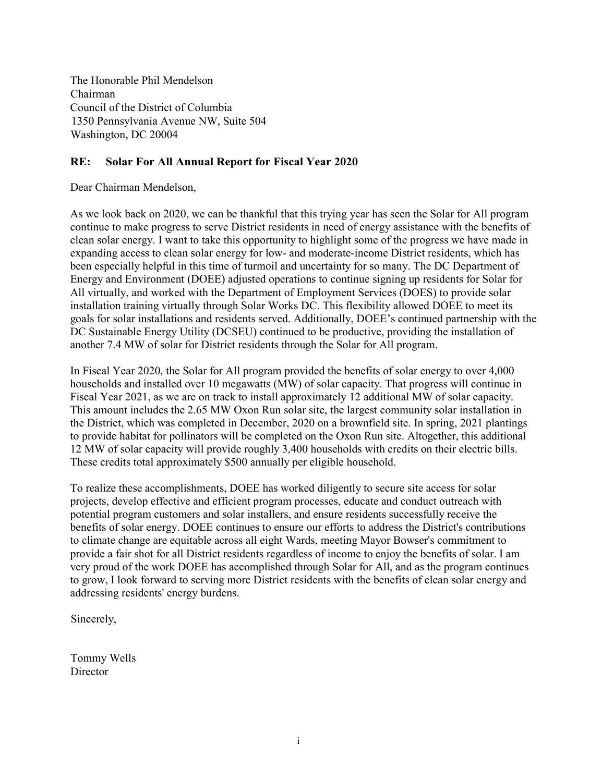The Honorable Phil Mendelson Chairman Council of the District of Columbia 1350 Pennsylvania Avenue NW, Suite 504 Washington, DC 20004

#### **RE: Solar For All Annual Report for Fiscal Year 2020**

Dear Chairman Mendelson,

As we look back on 2020, we can be thankful that this trying year has seen the Solar for All program continue to make progress to serve District residents in need of energy assistance with the benefits of clean solar energy. I want to take this opportunity to highlight some of the progress we have made in expanding access to clean solar energy for low- and moderate-income District residents, which has been especially helpful in this time of turmoil and uncertainty for so many. The DC Department of Energy and Environment (DOEE) adjusted operations to continue signing up residents for Solar for All virtually, and worked with the Department of Employment Services (DOES) to provide solar installation training virtually through Solar Works DC. This flexibility allowed DOEE to meet its goals for solar installations and residents served. Additionally, DOEE's continued partnership with the DC Sustainable Energy Utility (DCSEU) continued to be productive, providing the installation of another 7.4 MW of solar for District residents through the Solar for All program.

In Fiscal Year 2020, the Solar for All program provided the benefits of solar energy to over 4,000 households and installed over 10 megawatts (MW) of solar capacity. That progress will continue in Fiscal Year 2021, as we are on track to install approximately 12 additional MW of solar capacity. This amount includes the 2.65 MW Oxon Run solar site, the largest community solar installation in the District, which was completed in December, 2020 on a brownfield site. In spring, 2021 plantings to provide habitat for pollinators will be completed on the Oxon Run site. Altogether, this additional 12 MW of solar capacity will provide roughly 3,400 households with credits on their electric bills. These credits total approximately \$500 annually per eligible household.

To realize these accomplishments, DOEE has worked diligently to secure site access for solar projects, develop effective and efficient program processes, educate and conduct outreach with potential program customers and solar installers, and ensure residents successfully receive the benefits of solar energy. DOEE continues to ensure our efforts to address the District's contributions to climate change are equitable across all eight Wards, meeting Mayor Bowser's commitment to provide a fair shot for all District residents regardless of income to enjoy the benefits of solar. I am very proud of the work DOEE has accomplished through Solar for All, and as the program continues to grow, I look forward to serving more District residents with the benefits of clean solar energy and addressing residents' energy burdens.

Sincerely,

Tommy Wells **Director**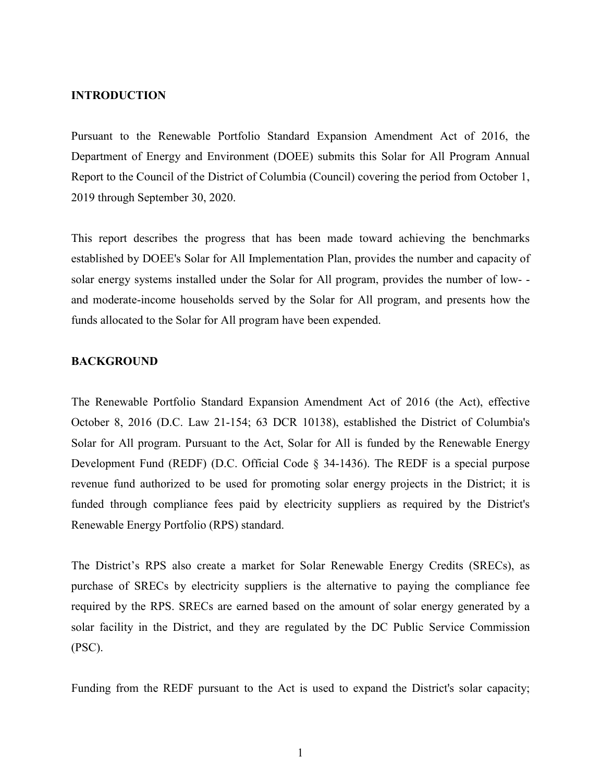#### **INTRODUCTION**

Pursuant to the Renewable Portfolio Standard Expansion Amendment Act of 2016, the Department of Energy and Environment (DOEE) submits this Solar for All Program Annual Report to the Council of the District of Columbia (Council) covering the period from October 1, 2019 through September 30, 2020.

This report describes the progress that has been made toward achieving the benchmarks established by DOEE's Solar for All Implementation Plan, provides the number and capacity of solar energy systems installed under the Solar for All program, provides the number of low- and moderate-income households served by the Solar for All program, and presents how the funds allocated to the Solar for All program have been expended.

#### **BACKGROUND**

The Renewable Portfolio Standard Expansion Amendment Act of 2016 (the Act), effective October 8, 2016 (D.C. Law 21-154; 63 DCR 10138), established the District of Columbia's Solar for All program. Pursuant to the Act, Solar for All is funded by the Renewable Energy Development Fund (REDF) (D.C. Official Code § 34-1436). The REDF is a special purpose revenue fund authorized to be used for promoting solar energy projects in the District; it is funded through compliance fees paid by electricity suppliers as required by the District's Renewable Energy Portfolio (RPS) standard.

The District's RPS also create a market for Solar Renewable Energy Credits (SRECs), as purchase of SRECs by electricity suppliers is the alternative to paying the compliance fee required by the RPS. SRECs are earned based on the amount of solar energy generated by a solar facility in the District, and they are regulated by the DC Public Service Commission (PSC).

Funding from the REDF pursuant to the Act is used to expand the District's solar capacity;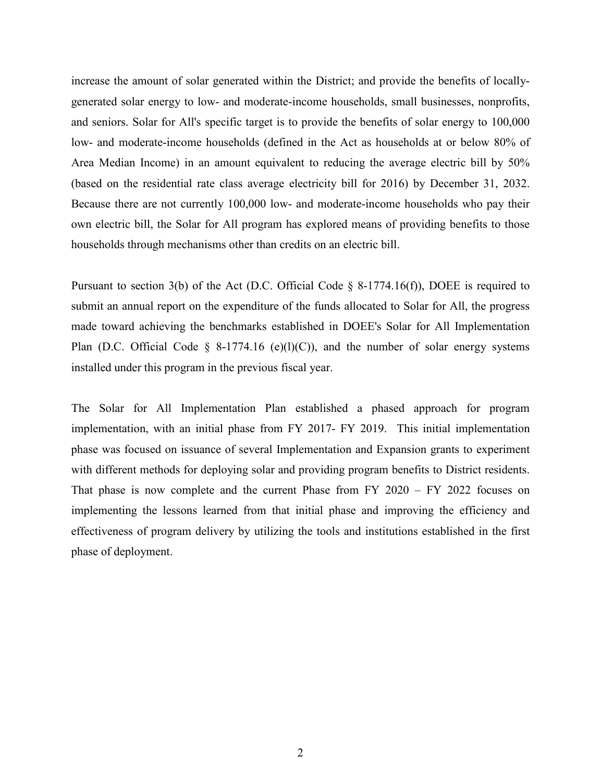increase the amount of solar generated within the District; and provide the benefits of locallygenerated solar energy to low- and moderate-income households, small businesses, nonprofits, and seniors. Solar for All's specific target is to provide the benefits of solar energy to 100,000 low- and moderate-income households (defined in the Act as households at or below 80% of Area Median Income) in an amount equivalent to reducing the average electric bill by 50% (based on the residential rate class average electricity bill for 2016) by December 31, 2032. Because there are not currently 100,000 low- and moderate-income households who pay their own electric bill, the Solar for All program has explored means of providing benefits to those households through mechanisms other than credits on an electric bill.

Pursuant to section 3(b) of the Act (D.C. Official Code § 8-1774.16(f)), DOEE is required to submit an annual report on the expenditure of the funds allocated to Solar for All, the progress made toward achieving the benchmarks established in DOEE's Solar for All Implementation Plan (D.C. Official Code § 8-1774.16 (e)(l)(C)), and the number of solar energy systems installed under this program in the previous fiscal year.

The Solar for All Implementation Plan established a phased approach for program implementation, with an initial phase from FY 2017- FY 2019. This initial implementation phase was focused on issuance of several Implementation and Expansion grants to experiment with different methods for deploying solar and providing program benefits to District residents. That phase is now complete and the current Phase from FY 2020 – FY 2022 focuses on implementing the lessons learned from that initial phase and improving the efficiency and effectiveness of program delivery by utilizing the tools and institutions established in the first phase of deployment.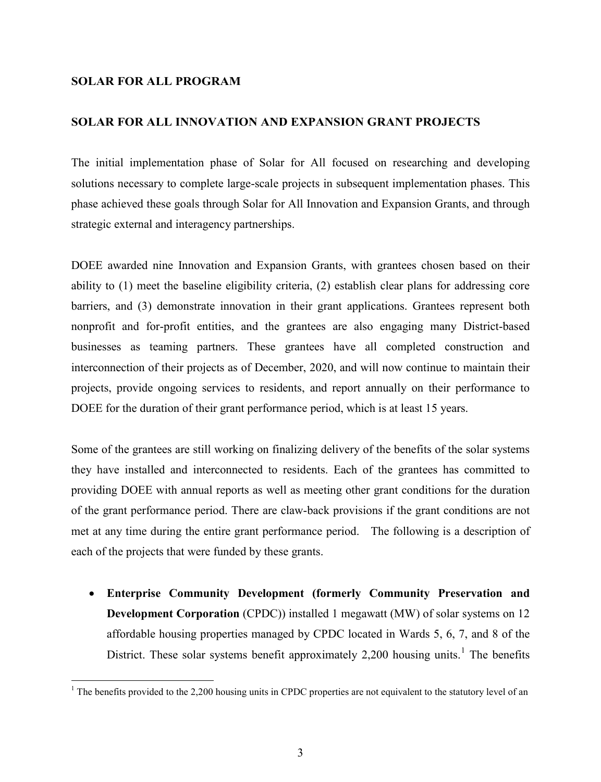#### **SOLAR FOR ALL PROGRAM**

#### **SOLAR FOR ALL INNOVATION AND EXPANSION GRANT PROJECTS**

The initial implementation phase of Solar for All focused on researching and developing solutions necessary to complete large-scale projects in subsequent implementation phases. This phase achieved these goals through Solar for All Innovation and Expansion Grants, and through strategic external and interagency partnerships.

DOEE awarded nine Innovation and Expansion Grants, with grantees chosen based on their ability to (1) meet the baseline eligibility criteria, (2) establish clear plans for addressing core barriers, and (3) demonstrate innovation in their grant applications. Grantees represent both nonprofit and for-profit entities, and the grantees are also engaging many District-based businesses as teaming partners. These grantees have all completed construction and interconnection of their projects as of December, 2020, and will now continue to maintain their projects, provide ongoing services to residents, and report annually on their performance to DOEE for the duration of their grant performance period, which is at least 15 years.

Some of the grantees are still working on finalizing delivery of the benefits of the solar systems they have installed and interconnected to residents. Each of the grantees has committed to providing DOEE with annual reports as well as meeting other grant conditions for the duration of the grant performance period. There are claw-back provisions if the grant conditions are not met at any time during the entire grant performance period. The following is a description of each of the projects that were funded by these grants.

• **Enterprise Community Development (formerly Community Preservation and Development Corporation** (CPDC)) installed 1 megawatt (MW) of solar systems on 12 affordable housing properties managed by CPDC located in Wards 5, 6, 7, and 8 of the District. These solar systems benefit approximately 2,200 housing units.<sup>[1](#page-6-0)</sup> The benefits

<span id="page-6-0"></span><sup>&</sup>lt;sup>1</sup> The benefits provided to the 2,200 housing units in CPDC properties are not equivalent to the statutory level of an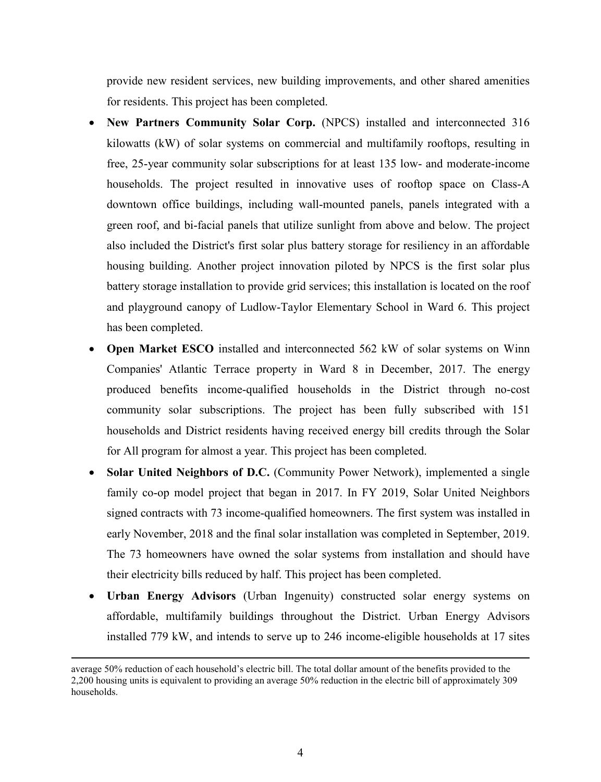provide new resident services, new building improvements, and other shared amenities for residents. This project has been completed.

- **New Partners Community Solar Corp.** (NPCS) installed and interconnected 316 kilowatts (kW) of solar systems on commercial and multifamily rooftops, resulting in free, 25-year community solar subscriptions for at least 135 low- and moderate-income households. The project resulted in innovative uses of rooftop space on Class-A downtown office buildings, including wall-mounted panels, panels integrated with a green roof, and bi-facial panels that utilize sunlight from above and below. The project also included the District's first solar plus battery storage for resiliency in an affordable housing building. Another project innovation piloted by NPCS is the first solar plus battery storage installation to provide grid services; this installation is located on the roof and playground canopy of Ludlow-Taylor Elementary School in Ward 6. This project has been completed.
- **Open Market ESCO** installed and interconnected 562 kW of solar systems on Winn Companies' Atlantic Terrace property in Ward 8 in December, 2017. The energy produced benefits income-qualified households in the District through no-cost community solar subscriptions. The project has been fully subscribed with 151 households and District residents having received energy bill credits through the Solar for All program for almost a year. This project has been completed.
- **Solar United Neighbors of D.C.** (Community Power Network), implemented a single family co-op model project that began in 2017. In FY 2019, Solar United Neighbors signed contracts with 73 income-qualified homeowners. The first system was installed in early November, 2018 and the final solar installation was completed in September, 2019. The 73 homeowners have owned the solar systems from installation and should have their electricity bills reduced by half. This project has been completed.
- **Urban Energy Advisors** (Urban Ingenuity) constructed solar energy systems on affordable, multifamily buildings throughout the District. Urban Energy Advisors installed 779 kW, and intends to serve up to 246 income-eligible households at 17 sites

**.** 

average 50% reduction of each household's electric bill. The total dollar amount of the benefits provided to the 2,200 housing units is equivalent to providing an average 50% reduction in the electric bill of approximately 309 households.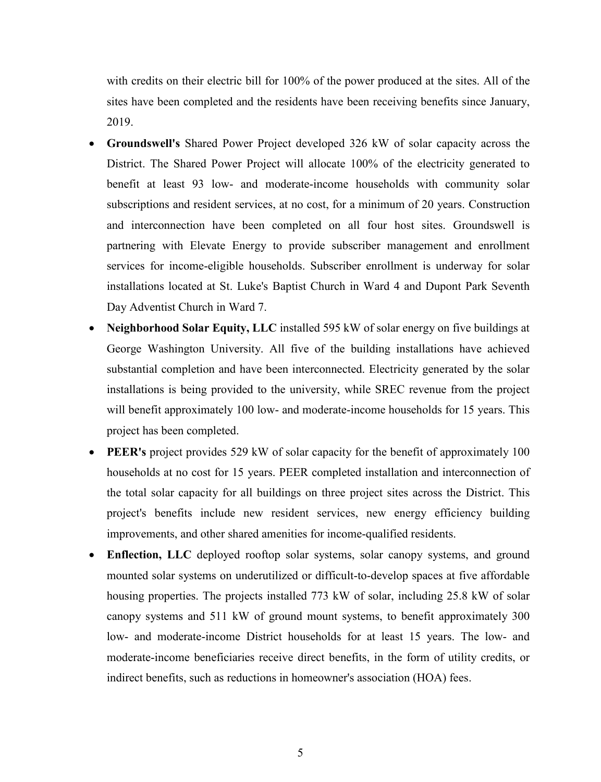with credits on their electric bill for 100% of the power produced at the sites. All of the sites have been completed and the residents have been receiving benefits since January, 2019.

- **Groundswell's** Shared Power Project developed 326 kW of solar capacity across the District. The Shared Power Project will allocate 100% of the electricity generated to benefit at least 93 low- and moderate-income households with community solar subscriptions and resident services, at no cost, for a minimum of 20 years. Construction and interconnection have been completed on all four host sites. Groundswell is partnering with Elevate Energy to provide subscriber management and enrollment services for income-eligible households. Subscriber enrollment is underway for solar installations located at St. Luke's Baptist Church in Ward 4 and Dupont Park Seventh Day Adventist Church in Ward 7.
- **Neighborhood Solar Equity, LLC** installed 595 kW of solar energy on five buildings at George Washington University. All five of the building installations have achieved substantial completion and have been interconnected. Electricity generated by the solar installations is being provided to the university, while SREC revenue from the project will benefit approximately 100 low- and moderate-income households for 15 years. This project has been completed.
- **PEER's** project provides 529 kW of solar capacity for the benefit of approximately 100 households at no cost for 15 years. PEER completed installation and interconnection of the total solar capacity for all buildings on three project sites across the District. This project's benefits include new resident services, new energy efficiency building improvements, and other shared amenities for income-qualified residents.
- **Enflection, LLC** deployed rooftop solar systems, solar canopy systems, and ground mounted solar systems on underutilized or difficult-to-develop spaces at five affordable housing properties. The projects installed 773 kW of solar, including 25.8 kW of solar canopy systems and 511 kW of ground mount systems, to benefit approximately 300 low- and moderate-income District households for at least 15 years. The low- and moderate-income beneficiaries receive direct benefits, in the form of utility credits, or indirect benefits, such as reductions in homeowner's association (HOA) fees.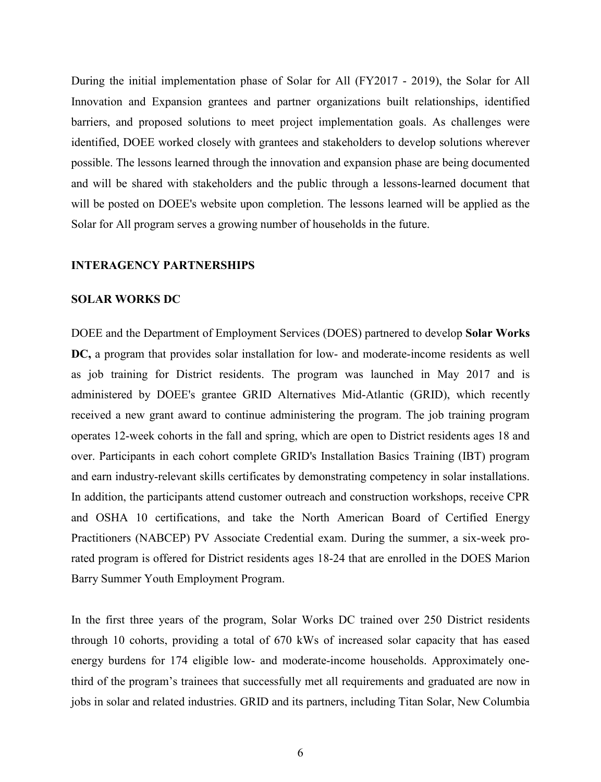During the initial implementation phase of Solar for All (FY2017 - 2019), the Solar for All Innovation and Expansion grantees and partner organizations built relationships, identified barriers, and proposed solutions to meet project implementation goals. As challenges were identified, DOEE worked closely with grantees and stakeholders to develop solutions wherever possible. The lessons learned through the innovation and expansion phase are being documented and will be shared with stakeholders and the public through a lessons-learned document that will be posted on DOEE's website upon completion. The lessons learned will be applied as the Solar for All program serves a growing number of households in the future.

#### **INTERAGENCY PARTNERSHIPS**

#### **SOLAR WORKS DC**

DOEE and the Department of Employment Services (DOES) partnered to develop **Solar Works DC,** a program that provides solar installation for low- and moderate-income residents as well as job training for District residents. The program was launched in May 2017 and is administered by DOEE's grantee GRID Alternatives Mid-Atlantic (GRID), which recently received a new grant award to continue administering the program. The job training program operates 12-week cohorts in the fall and spring, which are open to District residents ages 18 and over. Participants in each cohort complete GRID's Installation Basics Training (IBT) program and earn industry-relevant skills certificates by demonstrating competency in solar installations. In addition, the participants attend customer outreach and construction workshops, receive CPR and OSHA 10 certifications, and take the North American Board of Certified Energy Practitioners (NABCEP) PV Associate Credential exam. During the summer, a six-week prorated program is offered for District residents ages 18-24 that are enrolled in the DOES Marion Barry Summer Youth Employment Program.

In the first three years of the program, Solar Works DC trained over 250 District residents through 10 cohorts, providing a total of 670 kWs of increased solar capacity that has eased energy burdens for 174 eligible low- and moderate-income households. Approximately onethird of the program's trainees that successfully met all requirements and graduated are now in jobs in solar and related industries. GRID and its partners, including Titan Solar, New Columbia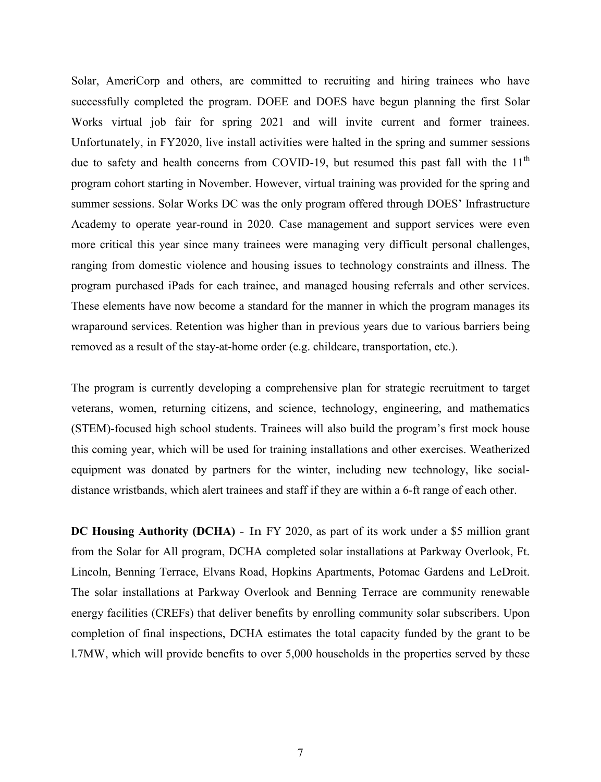Solar, AmeriCorp and others, are committed to recruiting and hiring trainees who have successfully completed the program. DOEE and DOES have begun planning the first Solar Works virtual job fair for spring 2021 and will invite current and former trainees. Unfortunately, in FY2020, live install activities were halted in the spring and summer sessions due to safety and health concerns from COVID-19, but resumed this past fall with the  $11<sup>th</sup>$ program cohort starting in November. However, virtual training was provided for the spring and summer sessions. Solar Works DC was the only program offered through DOES' Infrastructure Academy to operate year-round in 2020. Case management and support services were even more critical this year since many trainees were managing very difficult personal challenges, ranging from domestic violence and housing issues to technology constraints and illness. The program purchased iPads for each trainee, and managed housing referrals and other services. These elements have now become a standard for the manner in which the program manages its wraparound services. Retention was higher than in previous years due to various barriers being removed as a result of the stay-at-home order (e.g. childcare, transportation, etc.).

The program is currently developing a comprehensive plan for strategic recruitment to target veterans, women, returning citizens, and science, technology, engineering, and mathematics (STEM)-focused high school students. Trainees will also build the program's first mock house this coming year, which will be used for training installations and other exercises. Weatherized equipment was donated by partners for the winter, including new technology, like socialdistance wristbands, which alert trainees and staff if they are within a 6-ft range of each other.

**DC Housing Authority (DCHA)** - In FY 2020, as part of its work under a \$5 million grant from the Solar for All program, DCHA completed solar installations at Parkway Overlook, Ft. Lincoln, Benning Terrace, Elvans Road, Hopkins Apartments, Potomac Gardens and LeDroit. The solar installations at Parkway Overlook and Benning Terrace are community renewable energy facilities (CREFs) that deliver benefits by enrolling community solar subscribers. Upon completion of final inspections, DCHA estimates the total capacity funded by the grant to be l.7MW, which will provide benefits to over 5,000 households in the properties served by these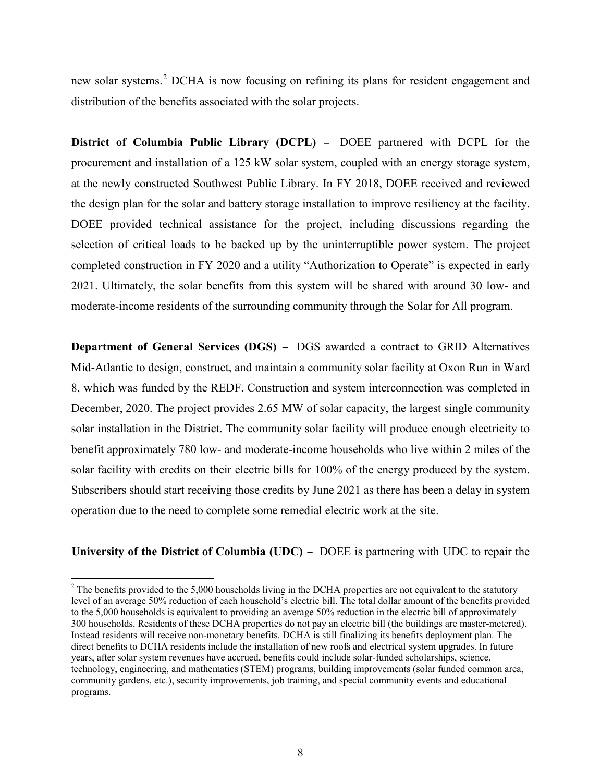new solar systems.<sup>[2](#page-11-0)</sup> DCHA is now focusing on refining its plans for resident engagement and distribution of the benefits associated with the solar projects.

**District of Columbia Public Library (DCPL)** - DOEE partnered with DCPL for the procurement and installation of a 125 kW solar system, coupled with an energy storage system, at the newly constructed Southwest Public Library. In FY 2018, DOEE received and reviewed the design plan for the solar and battery storage installation to improve resiliency at the facility. DOEE provided technical assistance for the project, including discussions regarding the selection of critical loads to be backed up by the uninterruptible power system. The project completed construction in FY 2020 and a utility "Authorization to Operate" is expected in early 2021. Ultimately, the solar benefits from this system will be shared with around 30 low- and moderate-income residents of the surrounding community through the Solar for All program.

**Department of General Services (DGS)** - DGS awarded a contract to GRID Alternatives Mid-Atlantic to design, construct, and maintain a community solar facility at Oxon Run in Ward 8, which was funded by the REDF. Construction and system interconnection was completed in December, 2020. The project provides 2.65 MW of solar capacity, the largest single community solar installation in the District. The community solar facility will produce enough electricity to benefit approximately 780 low- and moderate-income households who live within 2 miles of the solar facility with credits on their electric bills for 100% of the energy produced by the system. Subscribers should start receiving those credits by June 2021 as there has been a delay in system operation due to the need to complete some remedial electric work at the site.

**University of the District of Columbia (UDC)** - DOEE is partnering with UDC to repair the

<span id="page-11-0"></span> $2$  The benefits provided to the 5,000 households living in the DCHA properties are not equivalent to the statutory level of an average 50% reduction of each household's electric bill. The total dollar amount of the benefits provided to the 5,000 households is equivalent to providing an average 50% reduction in the electric bill of approximately 300 households. Residents of these DCHA properties do not pay an electric bill (the buildings are master-metered). Instead residents will receive non-monetary benefits. DCHA is still finalizing its benefits deployment plan. The direct benefits to DCHA residents include the installation of new roofs and electrical system upgrades. In future years, after solar system revenues have accrued, benefits could include solar-funded scholarships, science, technology, engineering, and mathematics (STEM) programs, building improvements (solar funded common area, community gardens, etc.), security improvements, job training, and special community events and educational programs.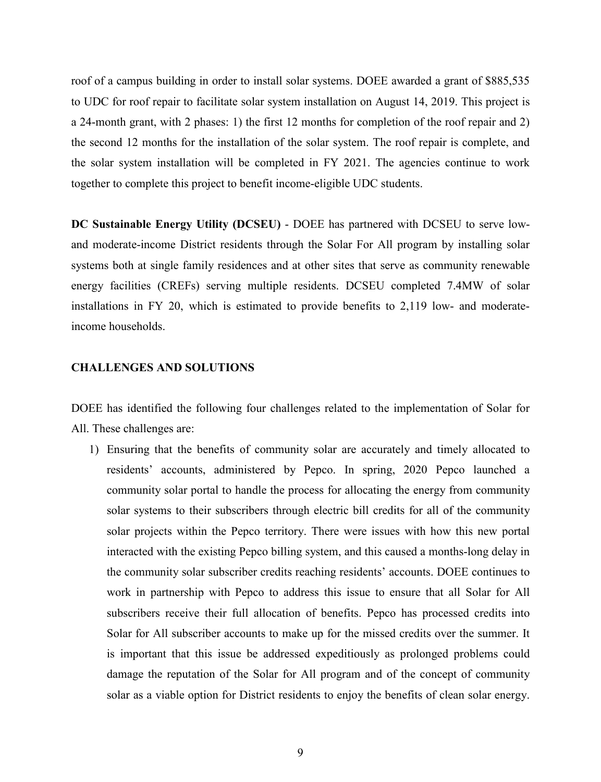roof of a campus building in order to install solar systems. DOEE awarded a grant of \$885,535 to UDC for roof repair to facilitate solar system installation on August 14, 2019. This project is a 24-month grant, with 2 phases: 1) the first 12 months for completion of the roof repair and 2) the second 12 months for the installation of the solar system. The roof repair is complete, and the solar system installation will be completed in FY 2021. The agencies continue to work together to complete this project to benefit income-eligible UDC students.

**DC Sustainable Energy Utility (DCSEU)** - DOEE has partnered with DCSEU to serve lowand moderate-income District residents through the Solar For All program by installing solar systems both at single family residences and at other sites that serve as community renewable energy facilities (CREFs) serving multiple residents. DCSEU completed 7.4MW of solar installations in FY 20, which is estimated to provide benefits to 2,119 low- and moderateincome households.

#### **CHALLENGES AND SOLUTIONS**

DOEE has identified the following four challenges related to the implementation of Solar for All. These challenges are:

1) Ensuring that the benefits of community solar are accurately and timely allocated to residents' accounts, administered by Pepco. In spring, 2020 Pepco launched a community solar portal to handle the process for allocating the energy from community solar systems to their subscribers through electric bill credits for all of the community solar projects within the Pepco territory. There were issues with how this new portal interacted with the existing Pepco billing system, and this caused a months-long delay in the community solar subscriber credits reaching residents' accounts. DOEE continues to work in partnership with Pepco to address this issue to ensure that all Solar for All subscribers receive their full allocation of benefits. Pepco has processed credits into Solar for All subscriber accounts to make up for the missed credits over the summer. It is important that this issue be addressed expeditiously as prolonged problems could damage the reputation of the Solar for All program and of the concept of community solar as a viable option for District residents to enjoy the benefits of clean solar energy.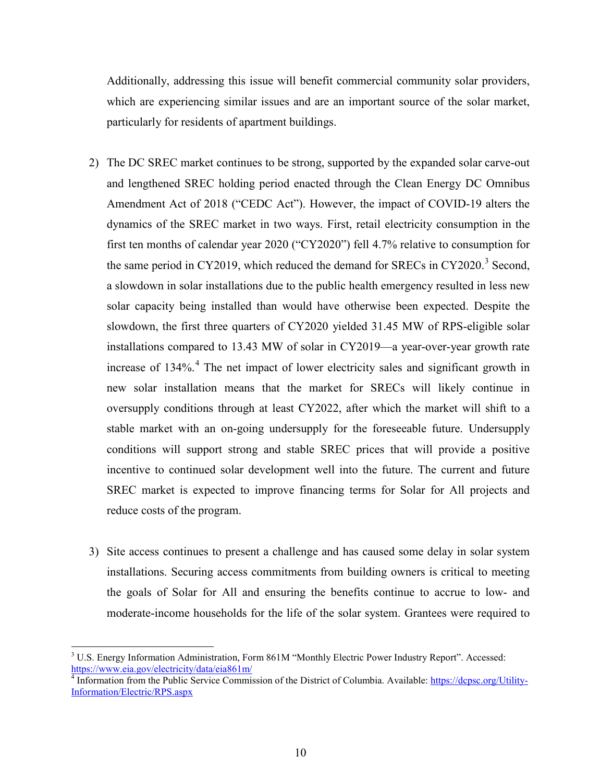Additionally, addressing this issue will benefit commercial community solar providers, which are experiencing similar issues and are an important source of the solar market, particularly for residents of apartment buildings.

- 2) The DC SREC market continues to be strong, supported by the expanded solar carve-out and lengthened SREC holding period enacted through the Clean Energy DC Omnibus Amendment Act of 2018 ("CEDC Act"). However, the impact of COVID-19 alters the dynamics of the SREC market in two ways. First, retail electricity consumption in the first ten months of calendar year 2020 ("CY2020") fell 4.7% relative to consumption for the same period in CY2019, which reduced the demand for SRECs in CY2020.<sup>[3](#page-13-0)</sup> Second, a slowdown in solar installations due to the public health emergency resulted in less new solar capacity being installed than would have otherwise been expected. Despite the slowdown, the first three quarters of CY2020 yielded 31.45 MW of RPS-eligible solar installations compared to 13.43 MW of solar in CY2019—a year-over-year growth rate increase of  $134\%$  $134\%$  $134\%$ <sup>4</sup>. The net impact of lower electricity sales and significant growth in new solar installation means that the market for SRECs will likely continue in oversupply conditions through at least CY2022, after which the market will shift to a stable market with an on-going undersupply for the foreseeable future. Undersupply conditions will support strong and stable SREC prices that will provide a positive incentive to continued solar development well into the future. The current and future SREC market is expected to improve financing terms for Solar for All projects and reduce costs of the program.
- 3) Site access continues to present a challenge and has caused some delay in solar system installations. Securing access commitments from building owners is critical to meeting the goals of Solar for All and ensuring the benefits continue to accrue to low- and moderate-income households for the life of the solar system. Grantees were required to

<span id="page-13-0"></span><sup>&</sup>lt;sup>3</sup> U.S. Energy Information Administration, Form 861M "Monthly Electric Power Industry Report". Accessed: <https://www.eia.gov/electricity/data/eia861m/>

<span id="page-13-1"></span><sup>&</sup>lt;sup>4</sup> Information from the Public Service Commission of the District of Columbia. Available[: https://dcpsc.org/Utility-](https://dcpsc.org/Utility-Information/Electric/RPS.aspx)[Information/Electric/RPS.aspx](https://dcpsc.org/Utility-Information/Electric/RPS.aspx)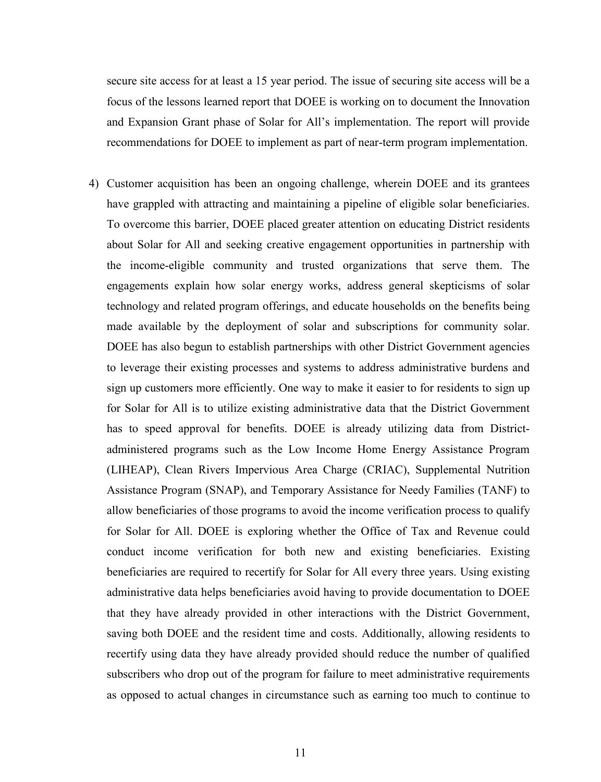secure site access for at least a 15 year period. The issue of securing site access will be a focus of the lessons learned report that DOEE is working on to document the Innovation and Expansion Grant phase of Solar for All's implementation. The report will provide recommendations for DOEE to implement as part of near-term program implementation.

4) Customer acquisition has been an ongoing challenge, wherein DOEE and its grantees have grappled with attracting and maintaining a pipeline of eligible solar beneficiaries. To overcome this barrier, DOEE placed greater attention on educating District residents about Solar for All and seeking creative engagement opportunities in partnership with the income-eligible community and trusted organizations that serve them. The engagements explain how solar energy works, address general skepticisms of solar technology and related program offerings, and educate households on the benefits being made available by the deployment of solar and subscriptions for community solar. DOEE has also begun to establish partnerships with other District Government agencies to leverage their existing processes and systems to address administrative burdens and sign up customers more efficiently. One way to make it easier to for residents to sign up for Solar for All is to utilize existing administrative data that the District Government has to speed approval for benefits. DOEE is already utilizing data from Districtadministered programs such as the Low Income Home Energy Assistance Program (LIHEAP), Clean Rivers Impervious Area Charge (CRIAC), Supplemental Nutrition Assistance Program (SNAP), and Temporary Assistance for Needy Families (TANF) to allow beneficiaries of those programs to avoid the income verification process to qualify for Solar for All. DOEE is exploring whether the Office of Tax and Revenue could conduct income verification for both new and existing beneficiaries. Existing beneficiaries are required to recertify for Solar for All every three years. Using existing administrative data helps beneficiaries avoid having to provide documentation to DOEE that they have already provided in other interactions with the District Government, saving both DOEE and the resident time and costs. Additionally, allowing residents to recertify using data they have already provided should reduce the number of qualified subscribers who drop out of the program for failure to meet administrative requirements as opposed to actual changes in circumstance such as earning too much to continue to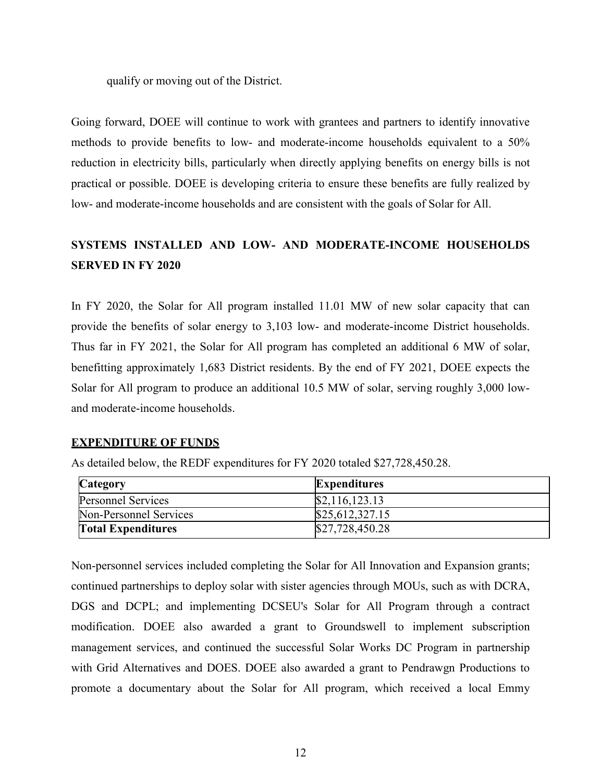qualify or moving out of the District.

Going forward, DOEE will continue to work with grantees and partners to identify innovative methods to provide benefits to low- and moderate-income households equivalent to a 50% reduction in electricity bills, particularly when directly applying benefits on energy bills is not practical or possible. DOEE is developing criteria to ensure these benefits are fully realized by low- and moderate-income households and are consistent with the goals of Solar for All.

## **SYSTEMS INSTALLED AND LOW- AND MODERATE-INCOME HOUSEHOLDS SERVED IN FY 2020**

In FY 2020, the Solar for All program installed 11.01 MW of new solar capacity that can provide the benefits of solar energy to 3,103 low- and moderate-income District households. Thus far in FY 2021, the Solar for All program has completed an additional 6 MW of solar, benefitting approximately 1,683 District residents. By the end of FY 2021, DOEE expects the Solar for All program to produce an additional 10.5 MW of solar, serving roughly 3,000 lowand moderate-income households.

### **EXPENDITURE OF FUNDS**

| Category                  | <b>Expenditures</b> |
|---------------------------|---------------------|
| <b>Personnel Services</b> | \$2,116,123.13      |
| Non-Personnel Services    | \$25,612,327.15     |
| <b>Total Expenditures</b> | \$27,728,450.28     |

As detailed below, the REDF expenditures for FY 2020 totaled \$27,728,450.28.

Non-personnel services included completing the Solar for All Innovation and Expansion grants; continued partnerships to deploy solar with sister agencies through MOUs, such as with DCRA, DGS and DCPL; and implementing DCSEU's Solar for All Program through a contract modification. DOEE also awarded a grant to Groundswell to implement subscription management services, and continued the successful Solar Works DC Program in partnership with Grid Alternatives and DOES. DOEE also awarded a grant to Pendrawgn Productions to promote a documentary about the Solar for All program, which received a local Emmy